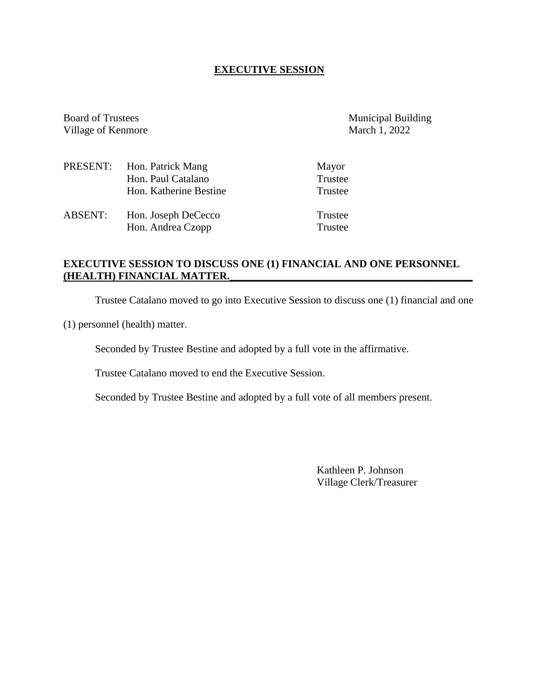### **EXECUTIVE SESSION**

Board of Trustees Municipal Building Village of Kenmore March 1, 2022

|                | PRESENT: Hon. Patrick Mang | Mayor   |
|----------------|----------------------------|---------|
|                | Hon. Paul Catalano         | Trustee |
|                | Hon. Katherine Bestine     | Trustee |
| <b>ABSENT:</b> | Hon. Joseph DeCecco        | Trustee |
|                | Hon. Andrea Czopp          | Trustee |

## **EXECUTIVE SESSION TO DISCUSS ONE (1) FINANCIAL AND ONE PERSONNEL (HEALTH) FINANCIAL MATTER.\_\_\_\_\_\_\_\_\_\_\_\_\_\_\_\_\_\_\_\_\_\_\_\_\_\_\_\_\_\_\_\_\_\_\_\_\_\_\_\_\_\_\_\_\_\_**

Trustee Catalano moved to go into Executive Session to discuss one (1) financial and one

(1) personnel (health) matter.

Seconded by Trustee Bestine and adopted by a full vote in the affirmative.

Trustee Catalano moved to end the Executive Session.

Seconded by Trustee Bestine and adopted by a full vote of all members present.

Kathleen P. Johnson Village Clerk/Treasurer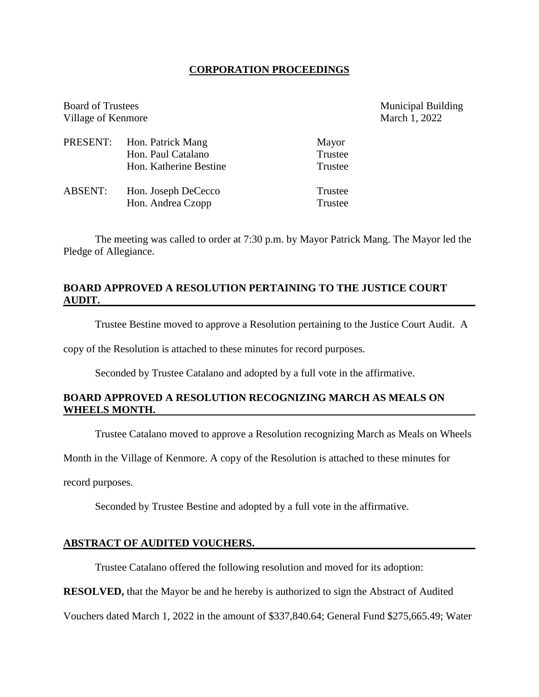### **CORPORATION PROCEEDINGS**

| <b>Board of Trustees</b><br>Village of Kenmore |                                                                   |                             | <b>Municipal Building</b><br>March 1, 2022 |
|------------------------------------------------|-------------------------------------------------------------------|-----------------------------|--------------------------------------------|
| PRESENT:                                       | Hon. Patrick Mang<br>Hon. Paul Catalano<br>Hon. Katherine Bestine | Mayor<br>Trustee<br>Trustee |                                            |
| <b>ABSENT:</b>                                 | Hon. Joseph DeCecco<br>Hon. Andrea Czopp                          | Trustee<br>Trustee          |                                            |

The meeting was called to order at 7:30 p.m. by Mayor Patrick Mang. The Mayor led the Pledge of Allegiance.

## **BOARD APPROVED A RESOLUTION PERTAINING TO THE JUSTICE COURT AUDIT.**

Trustee Bestine moved to approve a Resolution pertaining to the Justice Court Audit. A

copy of the Resolution is attached to these minutes for record purposes.

Seconded by Trustee Catalano and adopted by a full vote in the affirmative.

# **BOARD APPROVED A RESOLUTION RECOGNIZING MARCH AS MEALS ON WHEELS MONTH.**

Trustee Catalano moved to approve a Resolution recognizing March as Meals on Wheels

Month in the Village of Kenmore. A copy of the Resolution is attached to these minutes for

record purposes.

Seconded by Trustee Bestine and adopted by a full vote in the affirmative.

### **ABSTRACT OF AUDITED VOUCHERS.**

Trustee Catalano offered the following resolution and moved for its adoption:

**RESOLVED,** that the Mayor be and he hereby is authorized to sign the Abstract of Audited

Vouchers dated March 1, 2022 in the amount of \$337,840.64; General Fund \$275,665.49; Water